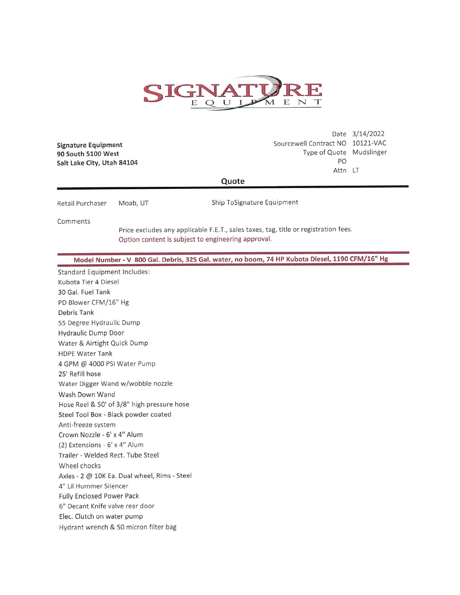

Signature Equipment 90 South 5100 West Salt Lake City, Utah 84104

Date 3/14/2022 Sourcewell Contract NO 10121-VAC Type of Quote Mudslinger PO Attn LT

## Quote

Retail Purchaser Moab, UT Ship ToSignature Equipment

Comments

Price excludes any applicable F.E.T., sales taxes, tag, title or registration fees. Option content is subject to engineering approval.

Model Number - V 800 Gal. Debris, 325 Gal. water, no boom, 74 HP Kubota Diesel, 1190 CFM/16" Hg

**Standard Equipment Includes:** Kubota Tier 4 Diesel 30 Gal. Fuel Tank PD Blower CFM/16" Hg Debris Tank 55 Degree Hydraulic Dump Hydraulic Dump Door Water & Airtight Quick Dump **HDPE Water Tank** 4 GPM @ 4000 PSI Water Pump 25' Refill hose Water Digger Wand w/wobble nozzle Wash Down Wand Hose Reel & 50' of 3/8" high pressure hose Steel Tool Box - Black powder coated Anti-freeze system Crown Nozzle - 6' x 4" Alum (2) Extensions - 6' x 4" Alum Trailer - Welded Rect. Tube Steel Wheel chocks Axles - 2 @ 10K Ea. Dual wheel, Rims - Steel 4" Lil Hummer Silencer **Fully Enclosed Power Pack** 6" Decant Knife valve rear door Elec. Clutch on water pump Hydrant wrench & 50 micron filter bag